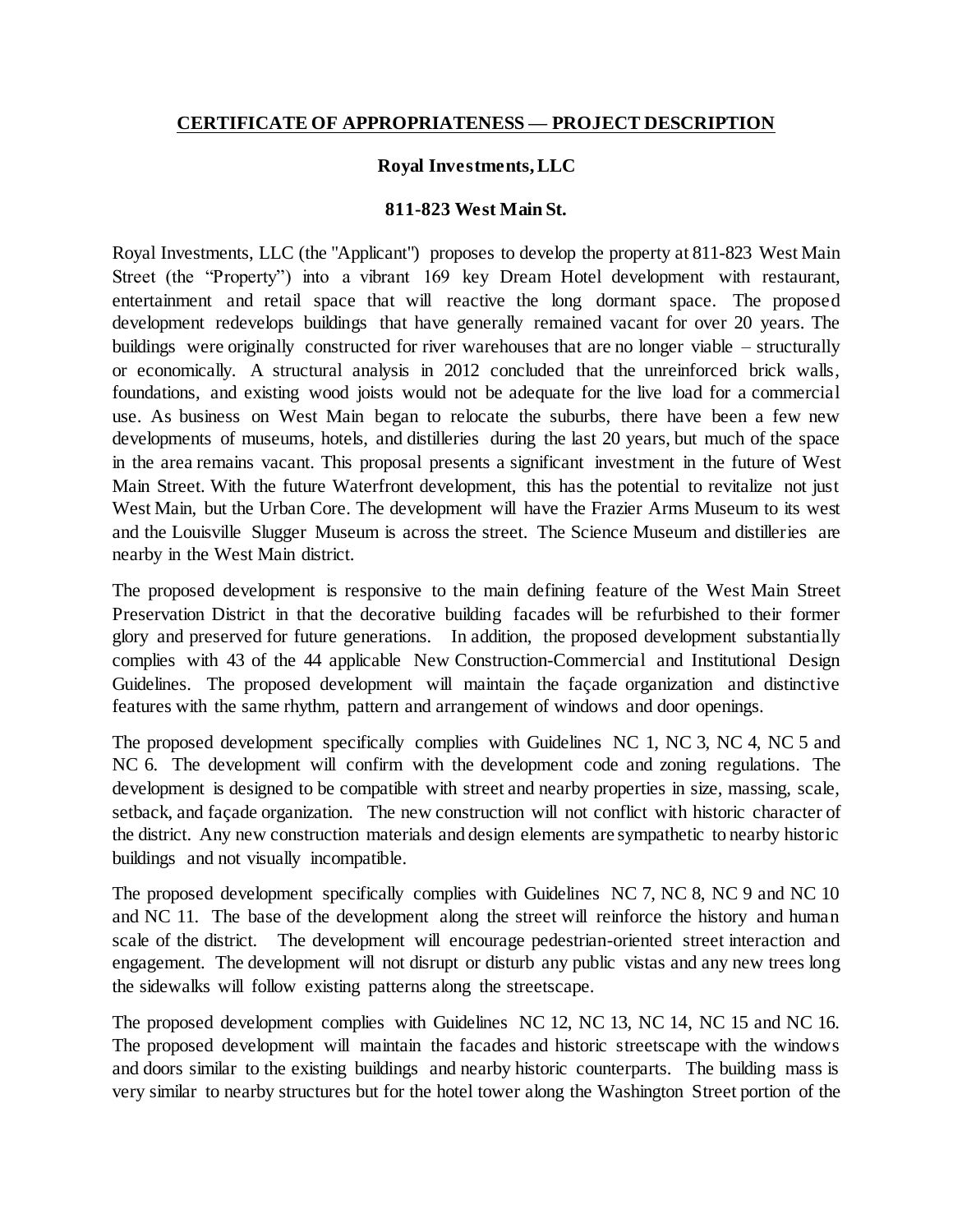## **CERTIFICATE OF APPROPRIATENESS — PROJECT DESCRIPTION**

## **Royal Investments, LLC**

## **811-823 West Main St.**

Royal Investments, LLC (the "Applicant") proposes to develop the property at 811-823 West Main Street (the "Property") into a vibrant 169 key Dream Hotel development with restaurant, entertainment and retail space that will reactive the long dormant space. The proposed development redevelops buildings that have generally remained vacant for over 20 years. The buildings were originally constructed for river warehouses that are no longer viable – structurally or economically. A structural analysis in 2012 concluded that the unreinforced brick walls, foundations, and existing wood joists would not be adequate for the live load for a commercial use. As business on West Main began to relocate the suburbs, there have been a few new developments of museums, hotels, and distilleries during the last 20 years, but much of the space in the area remains vacant. This proposal presents a significant investment in the future of West Main Street. With the future Waterfront development, this has the potential to revitalize not just West Main, but the Urban Core. The development will have the Frazier Arms Museum to its west and the Louisville Slugger Museum is across the street. The Science Museum and distilleries are nearby in the West Main district.

The proposed development is responsive to the main defining feature of the West Main Street Preservation District in that the decorative building facades will be refurbished to their former glory and preserved for future generations. In addition, the proposed development substantially complies with 43 of the 44 applicable New Construction-Commercial and Institutional Design Guidelines. The proposed development will maintain the façade organization and distinctive features with the same rhythm, pattern and arrangement of windows and door openings.

The proposed development specifically complies with Guidelines NC 1, NC 3, NC 4, NC 5 and NC 6. The development will confirm with the development code and zoning regulations. The development is designed to be compatible with street and nearby properties in size, massing, scale, setback, and façade organization. The new construction will not conflict with historic character of the district. Any new construction materials and design elements are sympathetic to nearby historic buildings and not visually incompatible.

The proposed development specifically complies with Guidelines NC 7, NC 8, NC 9 and NC 10 and NC 11. The base of the development along the street will reinforce the history and human scale of the district. The development will encourage pedestrian-oriented street interaction and engagement. The development will not disrupt or disturb any public vistas and any new trees long the sidewalks will follow existing patterns along the streetscape.

The proposed development complies with Guidelines NC 12, NC 13, NC 14, NC 15 and NC 16. The proposed development will maintain the facades and historic streetscape with the windows and doors similar to the existing buildings and nearby historic counterparts. The building mass is very similar to nearby structures but for the hotel tower along the Washington Street portion of the